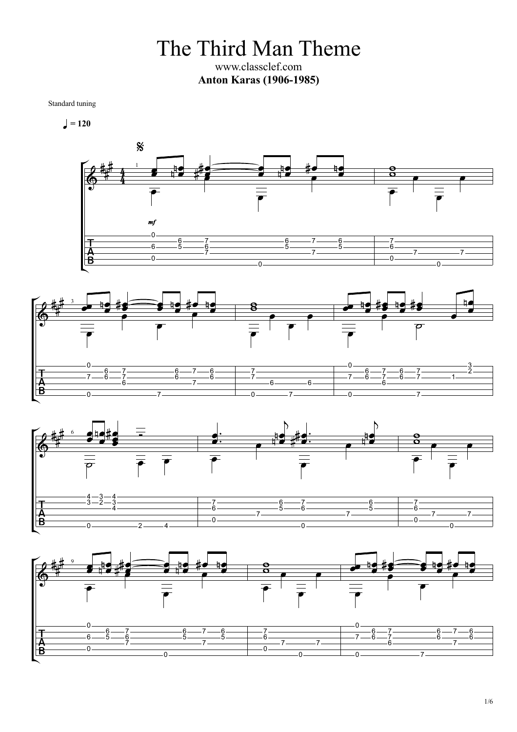The Third Man Theme www.classclef.com **Anton Karas (1906-1985)**

Standard tuning

 $= 120$ 







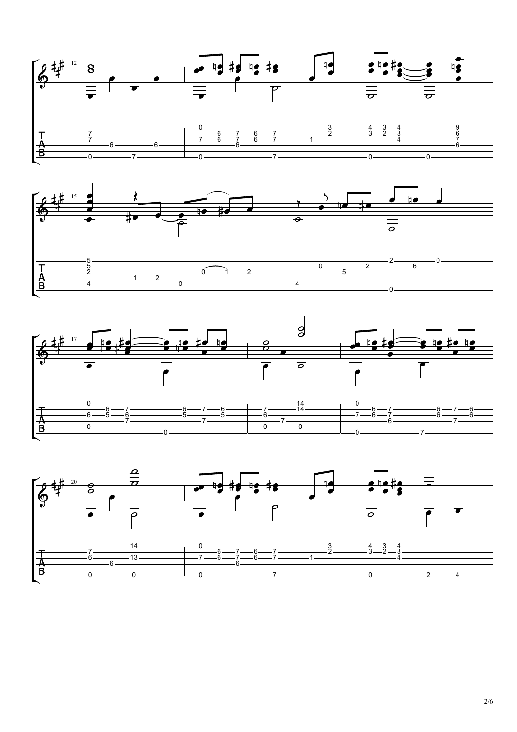





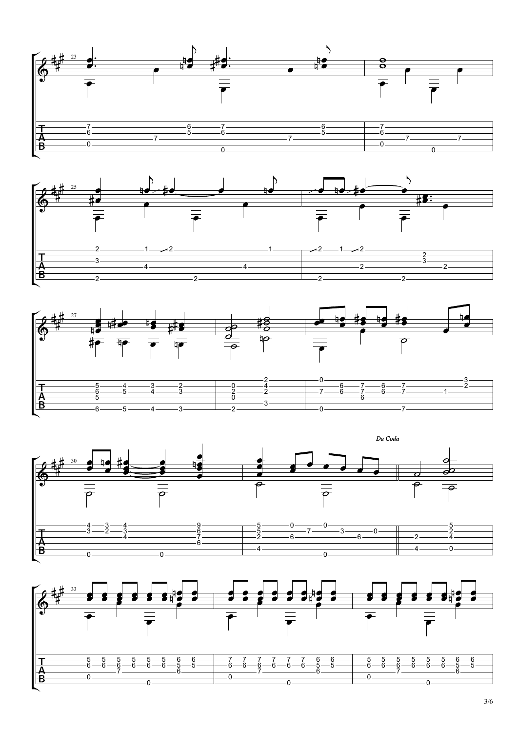







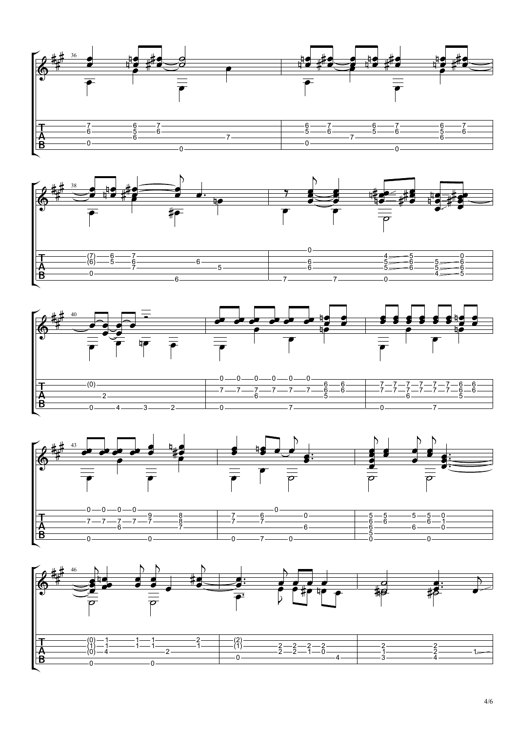







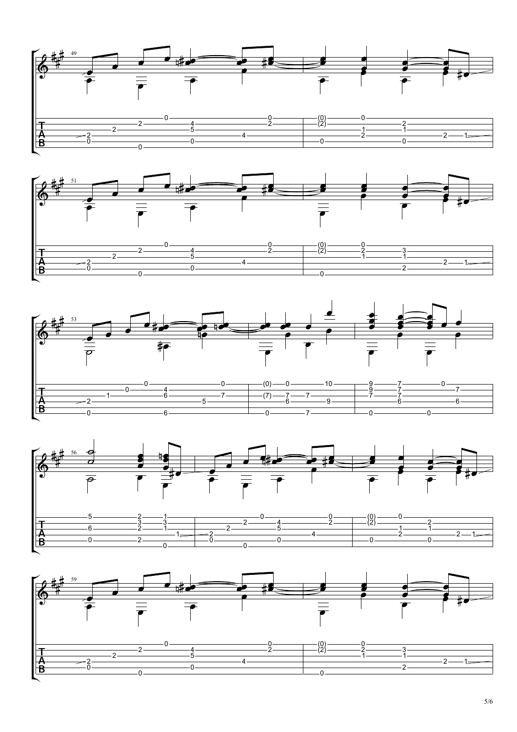